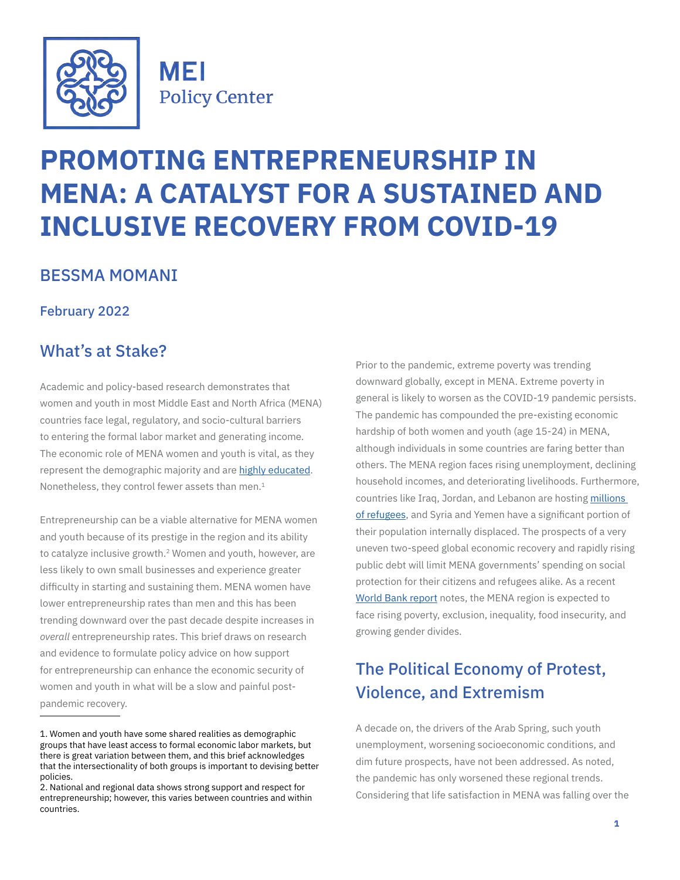

**MEI Policy Center** 

# **PROMOTING ENTREPRENEURSHIP IN MENA: A CATALYST FOR A SUSTAINED AND INCLUSIVE RECOVERY FROM COVID-19**

## BESSMA MOMANI

#### February 2022

## What's at Stake?

Academic and policy-based research demonstrates that women and youth in most Middle East and North Africa (MENA) countries face legal, regulatory, and socio-cultural barriers to entering the formal labor market and generating income. The economic role of MENA women and youth is vital, as they represent the demographic majority and are [highly educated.](https://data.worldbank.org/indicator/SE.ENR.TERT.FM.ZS) Nonetheless, they control fewer assets than men.<sup>1</sup>

Entrepreneurship can be a viable alternative for MENA women and youth because of its prestige in the region and its ability to catalyze inclusive growth.<sup>2</sup> Women and youth, however, are less likely to own small businesses and experience greater difficulty in starting and sustaining them. MENA women have lower entrepreneurship rates than men and this has been trending downward over the past decade despite increases in *overall* entrepreneurship rates. This brief draws on research and evidence to formulate policy advice on how support for entrepreneurship can enhance the economic security of women and youth in what will be a slow and painful postpandemic recovery.

Prior to the pandemic, extreme poverty was trending downward globally, except in MENA. Extreme poverty in general is likely to worsen as the COVID-19 pandemic persists. The pandemic has compounded the pre-existing economic hardship of both women and youth (age 15-24) in MENA, although individuals in some countries are faring better than others. The MENA region faces rising unemployment, declining household incomes, and deteriorating livelihoods. Furthermore, countries like Iraq, Jordan, and Lebanon are hosting [millions](https://www.friendsofeurope.org/wp/wp-content/uploads/2019/04/MIG_Factsheet_v4_web.pdf)  [of refugees,](https://www.friendsofeurope.org/wp/wp-content/uploads/2019/04/MIG_Factsheet_v4_web.pdf) and Syria and Yemen have a significant portion of their population internally displaced. The prospects of a very uneven two-speed global economic recovery and rapidly rising public debt will limit MENA governments' spending on social protection for their citizens and refugees alike. As a recent [World Bank report](https://openknowledge.worldbank.org/bitstream/handle/10986/34496/9781464816024.pdf) notes, the MENA region is expected to face rising poverty, exclusion, inequality, food insecurity, and growing gender divides.

## The Political Economy of Protest, Violence, and Extremism

A decade on, the drivers of the Arab Spring, such youth unemployment, worsening socioeconomic conditions, and dim future prospects, have not been addressed. As noted, the pandemic has only worsened these regional trends. Considering that life satisfaction in MENA was falling over the

<sup>1.</sup> Women and youth have some shared realities as demographic groups that have least access to formal economic labor markets, but there is great variation between them, and this brief acknowledges that the intersectionality of both groups is important to devising better policies.

<sup>2.</sup> National and regional data shows strong support and respect for entrepreneurship; however, this varies between countries and within countries.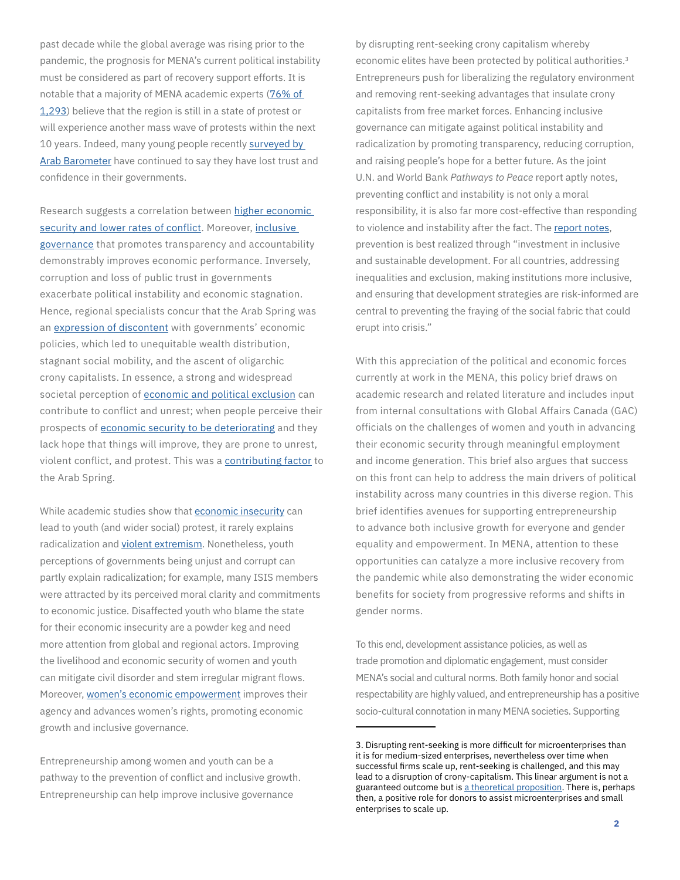past decade while the global average was rising prior to the pandemic, the prognosis for MENA's current political instability must be considered as part of recovery support efforts. It is notable that a majority of MENA academic experts ([76% of](https://www.brookings.edu/blog/order-from-chaos/2021/02/19/biden-says-he-will-listen-to-experts-here-is-what-scholars-of-the-middle-east-think/)  [1,293](https://www.brookings.edu/blog/order-from-chaos/2021/02/19/biden-says-he-will-listen-to-experts-here-is-what-scholars-of-the-middle-east-think/)) believe that the region is still in a state of protest or will experience another mass wave of protests within the next 10 years. Indeed, many young people recently [surveyed by](https://www.arabbarometer.org/publication/youth-in-mena-findings-from-the-fifth-wave-of-the-arab-barometer/)  [Arab Barometer](https://www.arabbarometer.org/publication/youth-in-mena-findings-from-the-fifth-wave-of-the-arab-barometer/) have continued to say they have lost trust and confidence in their governments.

Research suggests a correlation between [higher economic](https://onlinelibrary.wiley.com/doi/abs/10.1111/j.1468-0343.2006.00170.x)  [security and lower rates of conflict](https://onlinelibrary.wiley.com/doi/abs/10.1111/j.1468-0343.2006.00170.x). Moreover, [inclusive](https://www.imf.org/-/media/Files/Publications/DP/2021/English/EGRSIGEA.ashx)  [governance](https://www.imf.org/-/media/Files/Publications/DP/2021/English/EGRSIGEA.ashx) that promotes transparency and accountability demonstrably improves economic performance. Inversely, corruption and loss of public trust in governments exacerbate political instability and economic stagnation. Hence, regional specialists concur that the Arab Spring was an [expression of discontent](http://documents1.worldbank.org/curated/en/303441467992017147/pdf/Inequality-uprisings-and-conflict-in-the-Arab-World.pdf) with governments' economic policies, which led to unequitable wealth distribution, stagnant social mobility, and the ascent of oligarchic crony capitalists. In essence, a strong and widespread societal perception of [economic and political exclusion](https://openknowledge.worldbank.org/handle/10986/28337) can contribute to conflict and unrest; when people perceive their prospects of [economic security to be deteriorating](https://journey-to-extremism.undp.org/content/downloads/UNDP-JourneyToExtremism-report-2017-english.pdf) and they lack hope that things will improve, they are prone to unrest, violent conflict, and protest. This was a [contributing factor](https://www.edu-links.org/sites/default/files/media/file/global_20170322_violent-extremism.pdf) to the Arab Spring.

While academic studies show that [economic insecurity](http://documents1.worldbank.org/curated/en/409591474983005625/pdf/108525-REVISED-PUBLIC.pdf) can lead to youth (and wider social) protest, it rarely explains radicalization and [violent extremism](https://www.mercycorps.org/sites/default/files/2020-01/MercyCorps_YouthConsequencesReport_2015.pdf). Nonetheless, youth perceptions of governments being unjust and corrupt can partly explain radicalization; for example, many ISIS members were attracted by its perceived moral clarity and commitments to economic justice. Disaffected youth who blame the state for their economic insecurity are a powder keg and need more attention from global and regional actors. Improving the livelihood and economic security of women and youth can mitigate civil disorder and stem irregular migrant flows. Moreover, [women's economic empowerment](https://www.sddirect.org.uk/media/1687/infrastructure-womens-economic-empowerment-scoping-report.pdf) improves their agency and advances women's rights, promoting economic growth and inclusive governance.

Entrepreneurship among women and youth can be a pathway to the prevention of conflict and inclusive growth. Entrepreneurship can help improve inclusive governance

by disrupting rent-seeking crony capitalism whereby economic elites have been protected by political authorities.<sup>3</sup> Entrepreneurs push for liberalizing the regulatory environment and removing rent-seeking advantages that insulate crony capitalists from free market forces. Enhancing inclusive governance can mitigate against political instability and radicalization by promoting transparency, reducing corruption, and raising people's hope for a better future. As the joint U.N. and World Bank *Pathways to Peace* report aptly notes, preventing conflict and instability is not only a moral responsibility, it is also far more cost-effective than responding to violence and instability after the fact. The [report notes,](https://openknowledge.worldbank.org/bitstream/handle/10986/28337/9781464811623.pdf?sequence=12&isAllowed=y) prevention is best realized through "investment in inclusive and sustainable development. For all countries, addressing inequalities and exclusion, making institutions more inclusive, and ensuring that development strategies are risk-informed are central to preventing the fraying of the social fabric that could erupt into crisis."

With this appreciation of the political and economic forces currently at work in the MENA, this policy brief draws on academic research and related literature and includes input from internal consultations with Global Affairs Canada (GAC) officials on the challenges of women and youth in advancing their economic security through meaningful employment and income generation. This brief also argues that success on this front can help to address the main drivers of political instability across many countries in this diverse region. This brief identifies avenues for supporting entrepreneurship to advance both inclusive growth for everyone and gender equality and empowerment. In MENA, attention to these opportunities can catalyze a more inclusive recovery from the pandemic while also demonstrating the wider economic benefits for society from progressive reforms and shifts in gender norms.

To this end, development assistance policies, as well as trade promotion and diplomatic engagement, must consider MENA's social and cultural norms. Both family honor and social respectability are highly valued, and entrepreneurship has a positive socio-cultural connotation in many MENA societies. Supporting

<sup>3.</sup> Disrupting rent-seeking is more difficult for microenterprises than it is for medium-sized enterprises, nevertheless over time when successful firms scale up, rent-seeking is challenged, and this may lead to a disruption of crony-capitalism. This linear argument is not a guaranteed outcome but is [a theoretical proposition](https://halshs.archives-ouvertes.fr/halshs-00616302/document). There is, perhaps then, a positive role for donors to assist microenterprises and small enterprises to scale up.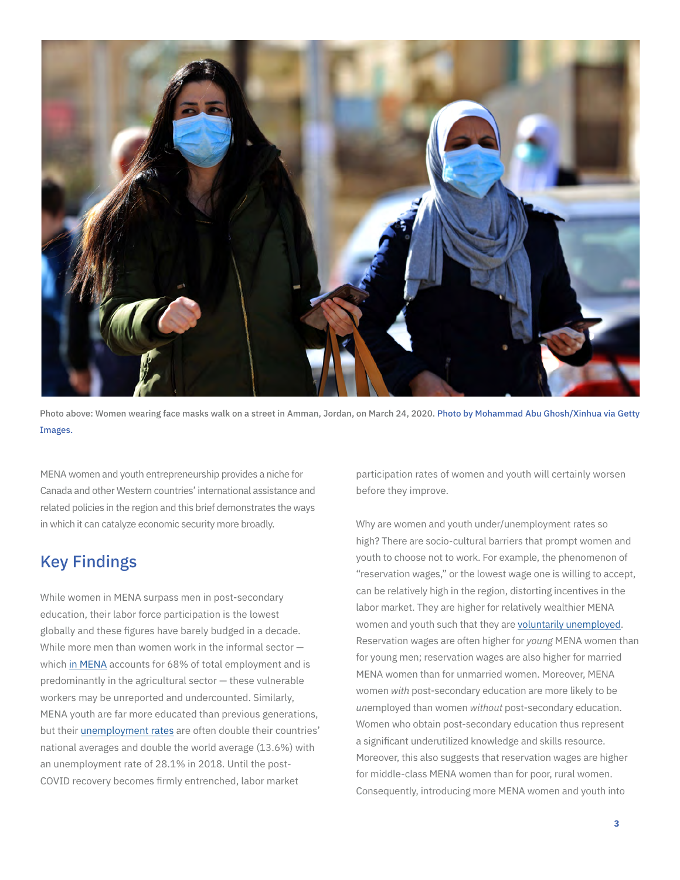

Photo above: Women wearing face masks walk on a street in Amman, Jordan, on March 24, 2020. Photo by Mohammad Abu Ghosh/Xinhua via Getty Images.

MENA women and youth entrepreneurship provides a niche for Canada and other Western countries' international assistance and related policies in the region and this brief demonstrates the ways in which it can catalyze economic security more broadly.

## Key Findings

While women in MENA surpass men in post-secondary education, their labor force participation is the lowest globally and these figures have barely budged in a decade. While more men than women work in the informal sector which [in MENA](https://www.ilo.org/wcmsp5/groups/public/---ed_protect/---protrav/---travail/documents/publication/wcms_711798.pdf) accounts for 68% of total employment and is predominantly in the agricultural sector — these vulnerable workers may be unreported and undercounted. Similarly, MENA youth are far more educated than previous generations, but their [unemployment rates](https://www.efe.org/documents/thoughtleadership/Promoting-a-New-Economy-for-the-Middle-East-and-North-Africa.pdf) are often double their countries' national averages and double the world average (13.6%) with an unemployment rate of 28.1% in 2018. Until the post-COVID recovery becomes firmly entrenched, labor market

participation rates of women and youth will certainly worsen before they improve.

Why are women and youth under/unemployment rates so high? There are socio-cultural barriers that prompt women and youth to choose not to work. For example, the phenomenon of "reservation wages," or the lowest wage one is willing to accept, can be relatively high in the region, distorting incentives in the labor market. They are higher for relatively wealthier MENA women and youth such that they are [voluntarily unemployed](https://erf.org.eg/publications/household-asset-wealth-and-female-labor-supply-in-mena/). Reservation wages are often higher for *young* MENA women than for young men; reservation wages are also higher for married MENA women than for unmarried women. Moreover, MENA women *with* post-secondary education are more likely to be *un*employed than women *without* post-secondary education. Women who obtain post-secondary education thus represent a significant underutilized knowledge and skills resource. Moreover, this also suggests that reservation wages are higher for middle-class MENA women than for poor, rural women. Consequently, introducing more MENA women and youth into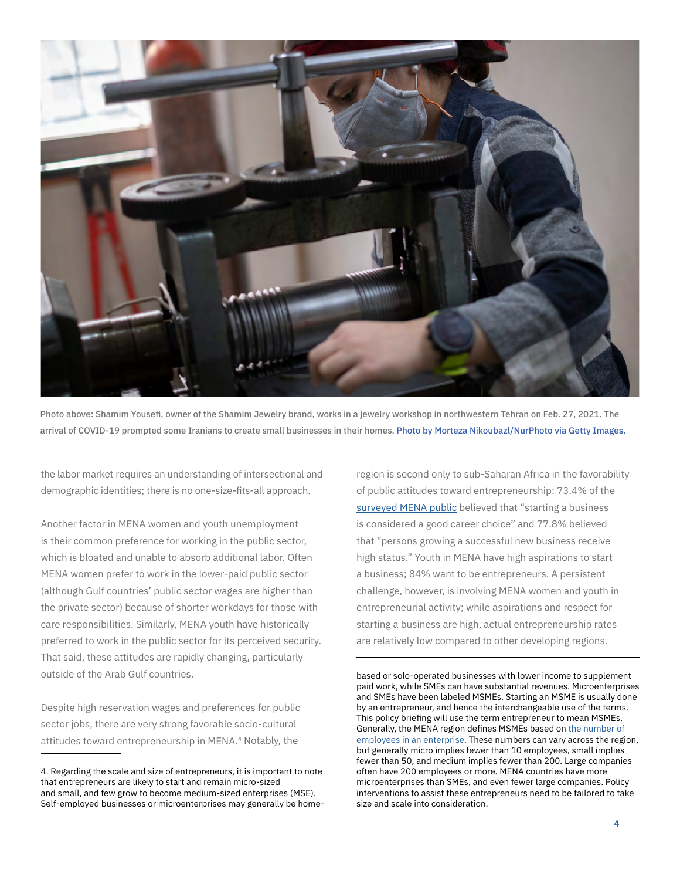

Photo above: Shamim Yousefi, owner of the Shamim Jewelry brand, works in a jewelry workshop in northwestern Tehran on Feb. 27, 2021. The arrival of COVID-19 prompted some Iranians to create small businesses in their homes. Photo by Morteza Nikoubazl/NurPhoto via Getty Images.

the labor market requires an understanding of intersectional and demographic identities; there is no one-size-fits-all approach.

Another factor in MENA women and youth unemployment is their common preference for working in the public sector, which is bloated and unable to absorb additional labor. Often MENA women prefer to work in the lower-paid public sector (although Gulf countries' public sector wages are higher than the private sector) because of shorter workdays for those with care responsibilities. Similarly, MENA youth have historically preferred to work in the public sector for its perceived security. That said, these attitudes are rapidly changing, particularly outside of the Arab Gulf countries.

Despite high reservation wages and preferences for public sector jobs, there are very strong favorable socio-cultural attitudes toward entrepreneurship in MENA.<sup>4</sup> Notably, the

region is second only to sub-Saharan Africa in the favorability of public attitudes toward entrepreneurship: 73.4% of the [surveyed MENA public](https://www.gemconsortium.org/file/open?fileId=49984) believed that "starting a business is considered a good career choice" and 77.8% believed that "persons growing a successful new business receive high status." Youth in MENA have high aspirations to start a business; 84% want to be entrepreneurs. A persistent challenge, however, is involving MENA women and youth in entrepreneurial activity; while aspirations and respect for starting a business are high, actual entrepreneurship rates are relatively low compared to other developing regions.

based or solo-operated businesses with lower income to supplement paid work, while SMEs can have substantial revenues. Microenterprises and SMEs have been labeled MSMEs. Starting an MSME is usually done by an entrepreneur, and hence the interchangeable use of the terms. This policy briefing will use the term entrepreneur to mean MSMEs. Generally, the MENA region defines MSMEs based on the number of [employees in an enterprise](file:///C:\Users\bmoma\AppData\Local\Microsoft\Windows\INetCache\Content.Outlook\AT9015YB\ http\www.ifc.org\wps\wc). These numbers can vary across the region, but generally micro implies fewer than 10 employees, small implies fewer than 50, and medium implies fewer than 200. Large companies often have 200 employees or more. MENA countries have more microenterprises than SMEs, and even fewer large companies. Policy interventions to assist these entrepreneurs need to be tailored to take size and scale into consideration.

<sup>4.</sup> Regarding the scale and size of entrepreneurs, it is important to note that entrepreneurs are likely to start and remain micro-sized and small, and few grow to become medium-sized enterprises (MSE). Self-employed businesses or microenterprises may generally be home-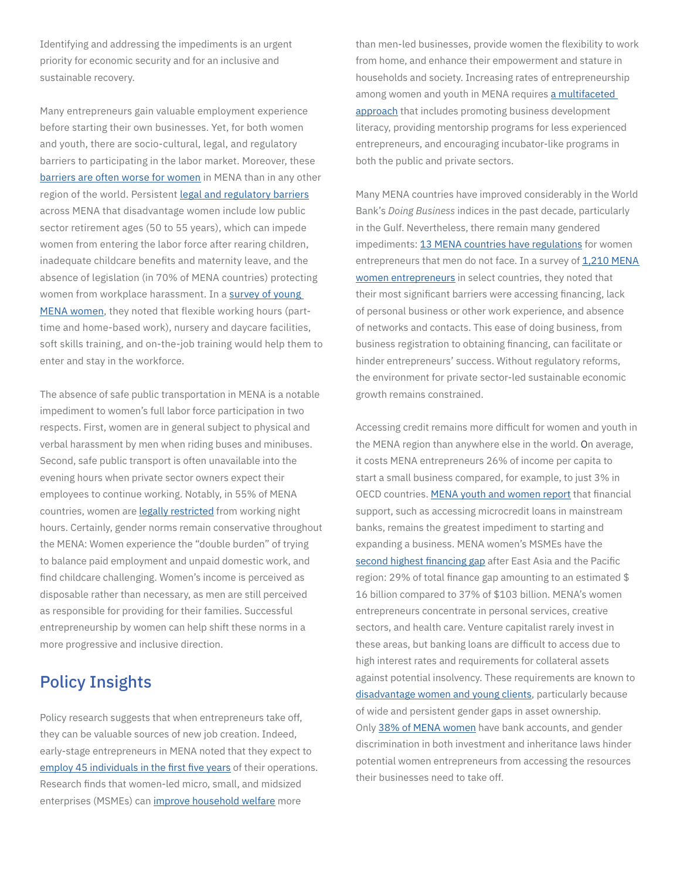Identifying and addressing the impediments is an urgent priority for economic security and for an inclusive and sustainable recovery.

Many entrepreneurs gain valuable employment experience before starting their own businesses. Yet, for both women and youth, there are socio-cultural, legal, and regulatory barriers to participating in the labor market. Moreover, these [barriers are often worse for women](http://documents1.worldbank.org/curated/en/926401524803880673/pdf/125804-PUB-REPLACEMENT-PUBLIC.pdf) in MENA than in any other region of the world. Persistent [legal and regulatory barriers](http://documents1.worldbank.org/curated/en/926401524803880673/pdf/125804-PUB-REPLACEMENT-PUBLIC.pdf) across MENA that disadvantage women include low public sector retirement ages (50 to 55 years), which can impede women from entering the labor force after rearing children, inadequate childcare benefits and maternity leave, and the absence of legislation (in 70% of MENA countries) protecting women from workplace harassment. In a survey of young [MENA women,](https://efe.org/documents/thoughtleadership/FirstJobsYoungWomenMENA.pdf) they noted that flexible working hours (parttime and home-based work), nursery and daycare facilities, soft skills training, and on-the-job training would help them to enter and stay in the workforce.

The absence of safe public transportation in MENA is a notable impediment to women's full labor force participation in two respects. First, women are in general subject to physical and verbal harassment by men when riding buses and minibuses. Second, safe public transport is often unavailable into the evening hours when private sector owners expect their employees to continue working. Notably, in 55% of MENA countries, women are [legally restricted](http://documents1.worldbank.org/curated/en/926401524803880673/pdf/125804-PUB-REPLACEMENT-PUBLIC.pdf) from working night hours. Certainly, gender norms remain conservative throughout the MENA: Women experience the "double burden" of trying to balance paid employment and unpaid domestic work, and find childcare challenging. Women's income is perceived as disposable rather than necessary, as men are still perceived as responsible for providing for their families. Successful entrepreneurship by women can help shift these norms in a more progressive and inclusive direction.

## Policy Insights

Policy research suggests that when entrepreneurs take off, they can be valuable sources of new job creation. Indeed, early-stage entrepreneurs in MENA noted that they expect to [employ 45 individuals in the first five years](https://www.gemconsortium.org/file/open?fileId=49984) of their operations. Research finds that women-led micro, small, and midsized enterprises (MSMEs) can [improve household welfare](https://link.springer.com/article/10.1057/ejdr.2010.17) more

than men-led businesses, provide women the flexibility to work from home, and enhance their empowerment and stature in households and society. Increasing rates of entrepreneurship among women and youth in MENA requires [a multifaceted](https://www.gemconsortium.org/file/open?fileId=50443)  [approach](https://www.gemconsortium.org/file/open?fileId=50443) that includes promoting business development literacy, providing mentorship programs for less experienced entrepreneurs, and encouraging incubator-like programs in both the public and private sectors.

Many MENA countries have improved considerably in the World Bank's *Doing Business* indices in the past decade, particularly in the Gulf. Nevertheless, there remain many gendered impediments: [13 MENA countries have regulations](https://openknowledge.worldbank.org/handle/10986/32436) for women entrepreneurs that men do not face. In a survey of [1,210 MENA](https://www.unido.org/sites/default/files/files/2019-10/MENA_REPORT_Eng_interactive-1_0.pdf)  [women entrepreneurs](https://www.unido.org/sites/default/files/files/2019-10/MENA_REPORT_Eng_interactive-1_0.pdf) in select countries, they noted that their most significant barriers were accessing financing, lack of personal business or other work experience, and absence of networks and contacts. This ease of doing business, from business registration to obtaining financing, can facilitate or hinder entrepreneurs' success. Without regulatory reforms, the environment for private sector-led sustainable economic growth remains constrained.

Accessing credit remains more difficult for women and youth in the MENA region than anywhere else in the world. On average, it costs MENA entrepreneurs 26% of income per capita to start a small business compared, for example, to just 3% in OECD countries. [MENA youth and women report](https://www.gemconsortium.org/file/open?fileId=50443) that financial support, such as accessing microcredit loans in mainstream banks, remains the greatest impediment to starting and expanding a business. MENA women's MSMEs have the [second highest financing gap](https://openknowledge.worldbank.org/bitstream/handle/10986/28535/IFC_Women and Tourism final.pdf) after East Asia and the Pacific region: 29% of total finance gap amounting to an estimated \$ 16 billion compared to 37% of \$103 billion. MENA's women entrepreneurs concentrate in personal services, creative sectors, and health care. Venture capitalist rarely invest in these areas, but banking loans are difficult to access due to high interest rates and requirements for collateral assets against potential insolvency. These requirements are known to [disadvantage women and young clients,](https://www.researchgate.net/profile/Esra-Karadeniz-3/publication/325717281_Women_Entrepreneurship_in_Iran_Pakistan_and_Turkey_Based_on_GEM_Data/links/5f3eee0792851cd3020dc272/Women-Entrepreneurship-in-Iran-Pakistan-and-Turkey-Based-on-GEM-Data.pdf#page=328) particularly because of wide and persistent gender gaps in asset ownership. Only [38% of MENA women](https://www.oecd.org/coronavirus/policy-responses/covid-19-crisis-in-the-mena-region-impact-on-gender-equality-and-policy-responses-ee4cd4f4/) have bank accounts, and gender discrimination in both investment and inheritance laws hinder potential women entrepreneurs from accessing the resources their businesses need to take off.